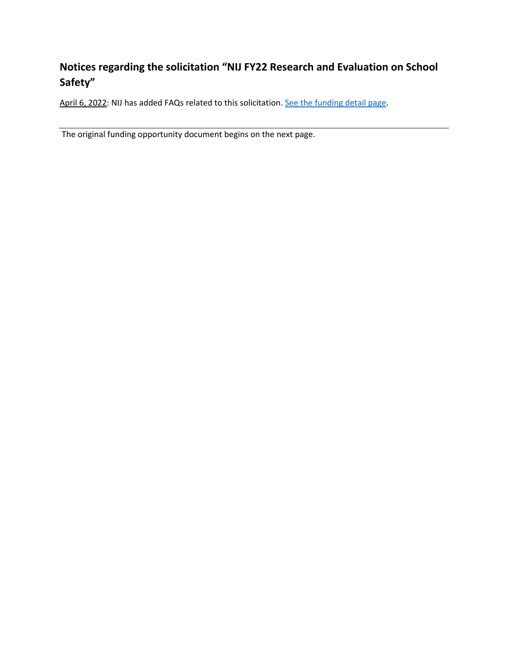## **Notices regarding the solicitation "NIJ FY22 Research and Evaluation on School Safety"**

April 6, 2022: NIJ has added FAQs related to this solicitation[. See the funding detail page.](https://nij.ojp.gov/funding/opportunities/O-NIJ-2022-171188)

The original funding opportunity document begins on the next page.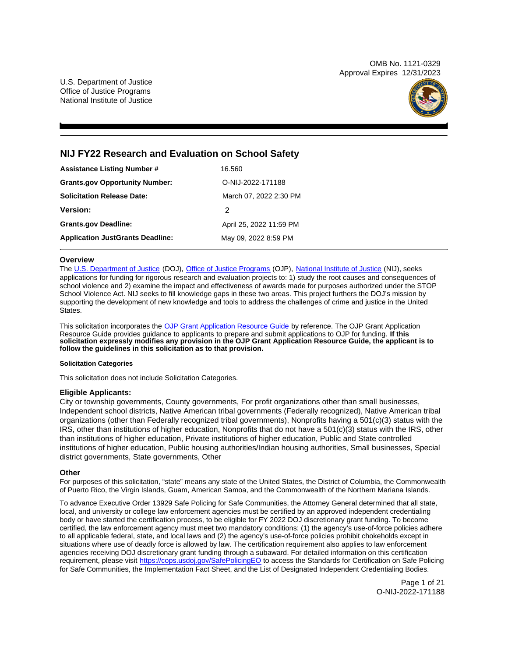OMB No. 1121-0329 Approval Expires 12/31/2023

U.S. Department of Justice Office of Justice Programs National Institute of Justice



## **NIJ FY22 Research and Evaluation on School Safety**

| <b>Assistance Listing Number #</b>      | 16.560                  |
|-----------------------------------------|-------------------------|
| <b>Grants.gov Opportunity Number:</b>   | O-NIJ-2022-171188       |
| <b>Solicitation Release Date:</b>       | March 07, 2022 2:30 PM  |
| <b>Version:</b>                         | 2                       |
| <b>Grants.gov Deadline:</b>             | April 25, 2022 11:59 PM |
| <b>Application JustGrants Deadline:</b> | May 09, 2022 8:59 PM    |

## **Overview**

The [U.S. Department of Justice](https://www.usdoj.gov/) (DOJ), [Office of Justice Programs](https://www.ojp.usdoj.gov/) (OJP), [National Institute of Justice](https://nij.ojp.gov/) (NIJ), seeks applications for funding for rigorous research and evaluation projects to: 1) study the root causes and consequences of school violence and 2) examine the impact and effectiveness of awards made for purposes authorized under the STOP School Violence Act. NIJ seeks to fill knowledge gaps in these two areas. This project furthers the DOJ's mission by supporting the development of new knowledge and tools to address the challenges of crime and justice in the United States.

This solicitation incorporates the [OJP Grant Application Resource Guide](https://www.ojp.gov/funding/Apply/Resources/Grant-App-Resource-Guide.htm) by reference. The OJP Grant Application Resource Guide provides guidance to applicants to prepare and submit applications to OJP for funding. **If this solicitation expressly modifies any provision in the OJP Grant Application Resource Guide, the applicant is to follow the guidelines in this solicitation as to that provision.** 

## **Solicitation Categories**

This solicitation does not include Solicitation Categories.

## **Eligible Applicants:**

City or township governments, County governments, For profit organizations other than small businesses, Independent school districts, Native American tribal governments (Federally recognized), Native American tribal organizations (other than Federally recognized tribal governments), Nonprofits having a 501(c)(3) status with the IRS, other than institutions of higher education, Nonprofits that do not have a 501(c)(3) status with the IRS, other than institutions of higher education, Private institutions of higher education, Public and State controlled institutions of higher education, Public housing authorities/Indian housing authorities, Small businesses, Special district governments, State governments, Other

## **Other**

For purposes of this solicitation, "state" means any state of the United States, the District of Columbia, the Commonwealth of Puerto Rico, the Virgin Islands, Guam, American Samoa, and the Commonwealth of the Northern Mariana Islands.

To advance Executive Order 13929 Safe Policing for Safe Communities, the Attorney General determined that all state, local, and university or college law enforcement agencies must be certified by an approved independent credentialing body or have started the certification process, to be eligible for FY 2022 DOJ discretionary grant funding. To become certified, the law enforcement agency must meet two mandatory conditions: (1) the agency's use-of-force policies adhere to all applicable federal, state, and local laws and (2) the agency's use-of-force policies prohibit chokeholds except in situations where use of deadly force is allowed by law. The certification requirement also applies to law enforcement agencies receiving DOJ discretionary grant funding through a subaward. For detailed information on this certification requirement, please visit [https://cops.usdoj.gov/SafePolicingEO](https://cops.usdoj.gov/SafePolicingEO%20) to access the Standards for Certification on Safe Policing for Safe Communities, the Implementation Fact Sheet, and the List of Designated Independent Credentialing Bodies.

> Page 1 of 21 O-NIJ-2022-171188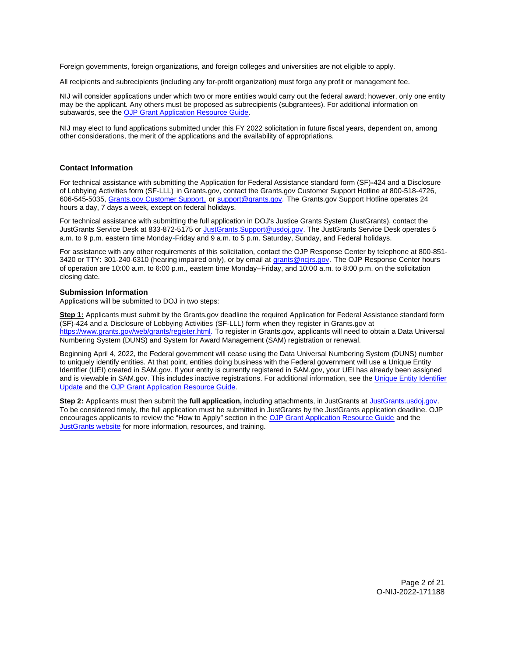<span id="page-2-0"></span>Foreign governments, foreign organizations, and foreign colleges and universities are not eligible to apply.

All recipients and subrecipients (including any for-profit organization) must forgo any profit or management fee.

NIJ will consider applications under which two or more entities would carry out the federal award; however, only one entity may be the applicant. Any others must be proposed as subrecipients (subgrantees). For additional information on subawards, see the [OJP Grant Application Resource Guide.](https://www.ojp.gov/funding/Apply/Resources/Grant-App-Resource-Guide.htm)

NIJ may elect to fund applications submitted under this FY 2022 solicitation in future fiscal years, dependent on, among other considerations, the merit of the applications and the availability of appropriations.

## **Contact Information**

For technical assistance with submitting the Application for Federal Assistance standard form (SF)**-**424 and a Disclosure of Lobbying Activities form (SF-LLL) in [Grants.gov](https://Grants.gov), contact the [Grants.gov](https://Grants.gov) Customer Support Hotline at 800-518-4726, 606-545-5035, [Grants.gov Customer Support,](https://www.grants.gov/web/grants/support.html) or [support@grants.gov.](mailto:support@grants.gov) The [Grants.gov](https://Grants.gov) Support Hotline operates 24 hours a day, 7 days a week, except on federal holidays.

For technical assistance with submitting the full application in DOJ's Justice Grants System (JustGrants), contact the JustGrants Service Desk at 833-872-5175 or [JustGrants.Support@usdoj.gov.](mailto:JustGrants.Support@usdoj.gov) The JustGrants Service Desk operates 5 a.m. to 9 p.m. eastern time Monday-Friday and 9 a.m. to 5 p.m. Saturday, Sunday, and Federal holidays.

For assistance with any other requirements of this solicitation, contact the OJP Response Center by telephone at 800-851 3420 or TTY: 301-240-6310 (hearing impaired only), or by email at [grants@ncjrs.gov.](mailto:grants@ncjrs.gov) The OJP Response Center hours of operation are 10:00 a.m. to 6:00 p.m., eastern time Monday–Friday, and 10:00 a.m. to 8:00 p.m. on the solicitation closing date.

## **Submission Information**

Applications will be submitted to DOJ in two steps:

**Step 1:** Applicants must submit by the [Grants.gov](https://Grants.gov) deadline the required Application for Federal Assistance standard form (SF)-424 and a Disclosure of Lobbying Activities (SF-LLL) form when they register in [Grants.gov](https://Grants.gov) at [https://www.grants.gov/web/grants/register.html.](https://www.grants.gov/web/grants/register.html) To register in [Grants.gov](https://Grants.gov), applicants will need to obtain a Data Universal Numbering System (DUNS) and System for Award Management (SAM) registration or renewal.

Beginning April 4, 2022, the Federal government will cease using the Data Universal Numbering System (DUNS) number to uniquely identify entities. At that point, entities doing business with the Federal government will use a Unique Entity Identifier (UEI) created in SAM.gov. If your entity is currently registered in SAM.gov, your UEI has already been assigned and is viewable in SAM.gov. This includes inactive registrations. For additional information, see the Unique Entity Identifier [Update](https://www.gsa.gov/about-us/organization/federal-acquisition-service/office-of-systems-management/integrated-award-environment-iae/iae-systems-information-kit/unique-entity-identifier-update) and the [OJP Grant Application Resource Guide.](https://www.ojp.gov/funding/apply/ojp-grant-application-resource-guide#unique-entity)

**Step 2:** Applicants must then submit the **full application,** including attachments, in JustGrants at [JustGrants.usdoj.gov.](https://justicegrants.usdoj.gov/) To be considered timely, the full application must be submitted in JustGrants by the JustGrants application deadline. OJP encourages applicants to review the "How to Apply" section in the [OJP Grant Application Resource Guide](https://www.ojp.gov/funding/apply/ojp-grant-application-resource-guide#apply) and the [JustGrants website](https://justicegrants.usdoj.gov/news) for more information, resources, and training.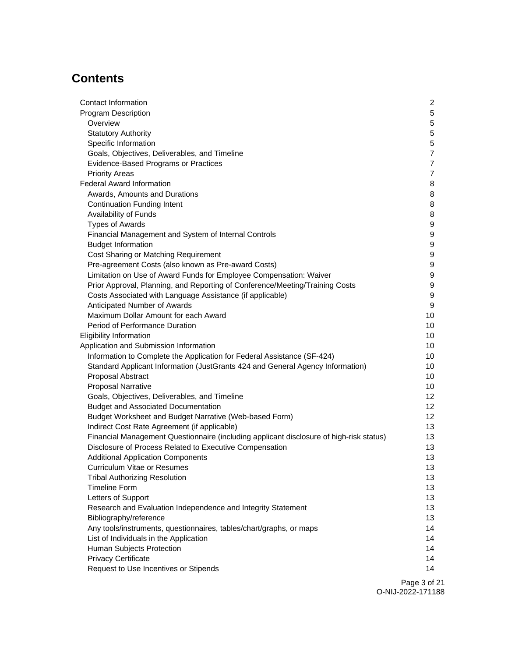# **Contents**

| Contact Information                                                                     | $\overline{2}$   |
|-----------------------------------------------------------------------------------------|------------------|
| <b>Program Description</b>                                                              | $5\phantom{.0}$  |
| Overview                                                                                | 5                |
| <b>Statutory Authority</b>                                                              | 5                |
| Specific Information                                                                    | $\mathbf 5$      |
| Goals, Objectives, Deliverables, and Timeline                                           | $\overline{7}$   |
| Evidence-Based Programs or Practices                                                    | 7                |
| <b>Priority Areas</b>                                                                   | 7                |
| <b>Federal Award Information</b>                                                        | 8                |
| Awards, Amounts and Durations                                                           | 8                |
| <b>Continuation Funding Intent</b>                                                      | 8                |
| Availability of Funds                                                                   | 8                |
| <b>Types of Awards</b>                                                                  | 9                |
| Financial Management and System of Internal Controls                                    | 9                |
| <b>Budget Information</b>                                                               | 9                |
| Cost Sharing or Matching Requirement                                                    | 9                |
| Pre-agreement Costs (also known as Pre-award Costs)                                     | 9                |
| Limitation on Use of Award Funds for Employee Compensation: Waiver                      | $\boldsymbol{9}$ |
| Prior Approval, Planning, and Reporting of Conference/Meeting/Training Costs            | $\boldsymbol{9}$ |
| Costs Associated with Language Assistance (if applicable)                               | $\boldsymbol{9}$ |
| Anticipated Number of Awards                                                            | $\boldsymbol{9}$ |
| Maximum Dollar Amount for each Award                                                    | 10               |
| Period of Performance Duration                                                          | 10               |
| <b>Eligibility Information</b>                                                          | 10               |
| Application and Submission Information                                                  | 10               |
| Information to Complete the Application for Federal Assistance (SF-424)                 | 10               |
| Standard Applicant Information (JustGrants 424 and General Agency Information)          | 10               |
| Proposal Abstract                                                                       | 10               |
| <b>Proposal Narrative</b>                                                               | 10               |
| Goals, Objectives, Deliverables, and Timeline                                           | 12               |
| <b>Budget and Associated Documentation</b>                                              | 12               |
| Budget Worksheet and Budget Narrative (Web-based Form)                                  | 12               |
| Indirect Cost Rate Agreement (if applicable)                                            | 13               |
| Financial Management Questionnaire (including applicant disclosure of high-risk status) | 13               |
| Disclosure of Process Related to Executive Compensation                                 | 13               |
| <b>Additional Application Components</b>                                                | 13               |
| Curriculum Vitae or Resumes                                                             | 13               |
| <b>Tribal Authorizing Resolution</b>                                                    | 13               |
| <b>Timeline Form</b>                                                                    | 13               |
| Letters of Support                                                                      | 13               |
| Research and Evaluation Independence and Integrity Statement                            | 13               |
| Bibliography/reference                                                                  | 13               |
| Any tools/instruments, questionnaires, tables/chart/graphs, or maps                     | 14               |
| List of Individuals in the Application                                                  | 14               |
| Human Subjects Protection                                                               | 14               |
| <b>Privacy Certificate</b>                                                              | 14               |
| Request to Use Incentives or Stipends                                                   | 14               |
|                                                                                         |                  |

Page 3 of 21 O-NIJ-2022-171188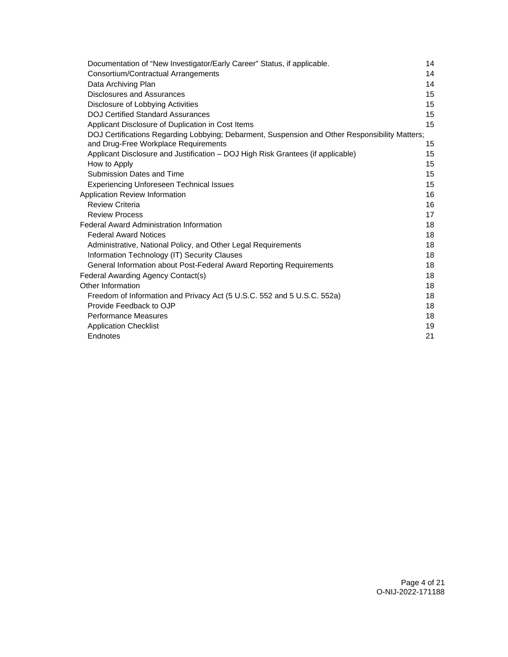| Documentation of "New Investigator/Early Career" Status, if applicable.                                                                | 14 |
|----------------------------------------------------------------------------------------------------------------------------------------|----|
| Consortium/Contractual Arrangements                                                                                                    | 14 |
| Data Archiving Plan                                                                                                                    | 14 |
| <b>Disclosures and Assurances</b>                                                                                                      | 15 |
| Disclosure of Lobbying Activities                                                                                                      | 15 |
| <b>DOJ Certified Standard Assurances</b>                                                                                               | 15 |
| Applicant Disclosure of Duplication in Cost Items                                                                                      | 15 |
| DOJ Certifications Regarding Lobbying; Debarment, Suspension and Other Responsibility Matters;<br>and Drug-Free Workplace Requirements | 15 |
| Applicant Disclosure and Justification - DOJ High Risk Grantees (if applicable)                                                        | 15 |
| How to Apply                                                                                                                           | 15 |
| Submission Dates and Time                                                                                                              | 15 |
| <b>Experiencing Unforeseen Technical Issues</b>                                                                                        | 15 |
| Application Review Information                                                                                                         | 16 |
| <b>Review Criteria</b>                                                                                                                 | 16 |
| <b>Review Process</b>                                                                                                                  | 17 |
| <b>Federal Award Administration Information</b>                                                                                        | 18 |
| <b>Federal Award Notices</b>                                                                                                           | 18 |
| Administrative, National Policy, and Other Legal Requirements                                                                          | 18 |
| Information Technology (IT) Security Clauses                                                                                           | 18 |
| General Information about Post-Federal Award Reporting Requirements                                                                    | 18 |
| Federal Awarding Agency Contact(s)                                                                                                     | 18 |
| Other Information                                                                                                                      | 18 |
| Freedom of Information and Privacy Act (5 U.S.C. 552 and 5 U.S.C. 552a)                                                                | 18 |
| Provide Feedback to OJP                                                                                                                | 18 |
| <b>Performance Measures</b>                                                                                                            | 18 |
| <b>Application Checklist</b>                                                                                                           | 19 |
| Endnotes                                                                                                                               | 21 |
|                                                                                                                                        |    |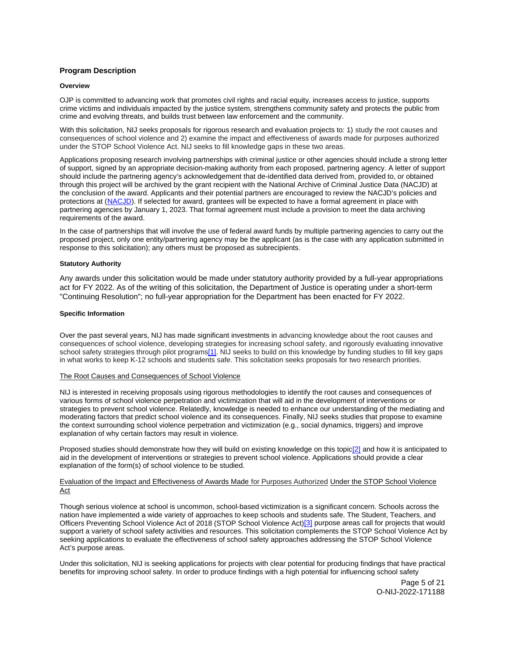## <span id="page-5-0"></span>**Program Description**

#### **Overview**

OJP is committed to advancing work that promotes civil rights and racial equity, increases access to justice, supports crime victims and individuals impacted by the justice system, strengthens community safety and protects the public from crime and evolving threats, and builds trust between law enforcement and the community.

With this solicitation, NIJ seeks proposals for rigorous research and evaluation projects to: 1) study the root causes and consequences of school violence and 2) examine the impact and effectiveness of awards made for purposes authorized under the STOP School Violence Act. NIJ seeks to fill knowledge gaps in these two areas.

Applications proposing research involving partnerships with criminal justice or other agencies should include a strong letter of support, signed by an appropriate decision-making authority from each proposed, partnering agency. A letter of support should include the partnering agency's acknowledgement that de-identified data derived from, provided to, or obtained through this project will be archived by the grant recipient with the National Archive of Criminal Justice Data (NACJD) at the conclusion of the award. Applicants and their potential partners are encouraged to review the NACJD's policies and protections at ([NACJD\).](https://www.icpsr.umich.edu/web/pages/NACJD/archiving/deposit-nij-data.html) If selected for award, grantees will be expected to have a formal agreement in place with partnering agencies by January 1, 2023. That formal agreement must include a provision to meet the data archiving requirements of the award.

In the case of partnerships that will involve the use of federal award funds by multiple partnering agencies to carry out the proposed project, only one entity/partnering agency may be the applicant (as is the case with any application submitted in response to this solicitation); any others must be proposed as subrecipients.

## **Statutory Authority**

Any awards under this solicitation would be made under statutory authority provided by a full-year appropriations act for FY 2022. As of the writing of this solicitation, the Department of Justice is operating under a short-term "Continuing Resolution"; no full-year appropriation for the Department has been enacted for FY 2022.

## **Specific Information**

Over the past several years, NIJ has made significant investments in advancing knowledge about the root causes and consequences of school violence, developing strategies for increasing school safety, and rigorously evaluating innovative school safety strategies through pilot programs[\[1\].](#page-21-0) NIJ seeks to build on this knowledge by funding studies to fill key gaps in what works to keep K-12 schools and students safe. This solicitation seeks proposals for two research priorities.

#### The Root Causes and Consequences of School Violence

NIJ is interested in receiving proposals using rigorous methodologies to identify the root causes and consequences of various forms of school violence perpetration and victimization that will aid in the development of interventions or strategies to prevent school violence. Relatedly, knowledge is needed to enhance our understanding of the mediating and moderating factors that predict school violence and its consequences. Finally, NIJ seeks studies that propose to examine the context surrounding school violence perpetration and victimization (e.g., social dynamics, triggers) and improve explanation of why certain factors may result in violence.

Proposed studies should demonstrate how they will build on existing knowledge on this topic[\[2\]](#page-21-0) and how it is anticipated to aid in the development of interventions or strategies to prevent school violence. Applications should provide a clear explanation of the form(s) of school violence to be studied.

## Evaluation of the Impact and Effectiveness of Awards Made for Purposes Authorized Under the STOP School Violence Act

Though serious violence at school is uncommon, school-based victimization is a significant concern. Schools across the nation have implemented a wide variety of approaches to keep schools and students safe. The Student, Teachers, and Officers Preventing School Violence Act of 2018 (STOP School Violence Act)[\[3\]](#page-21-0) purpose areas call for projects that would support a variety of school safety activities and resources. This solicitation complements the STOP School Violence Act by seeking applications to evaluate the effectiveness of school safety approaches addressing the STOP School Violence Act's purpose areas.

Under this solicitation, NIJ is seeking applications for projects with clear potential for producing findings that have practical benefits for improving school safety. In order to produce findings with a high potential for influencing school safety

> Page 5 of 21 O-NIJ-2022-171188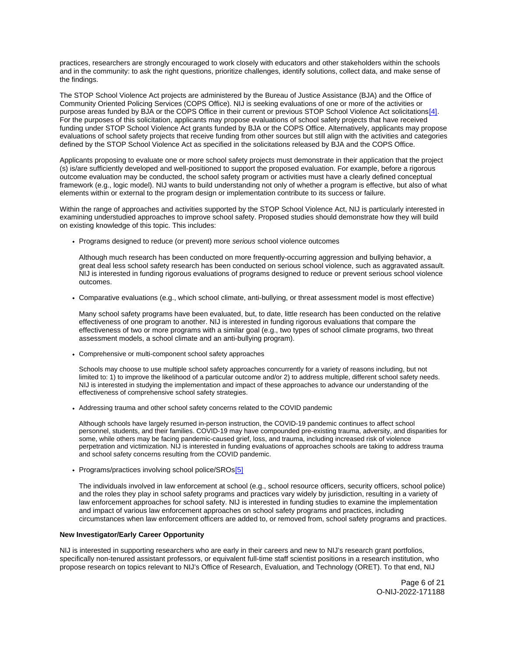practices, researchers are strongly encouraged to work closely with educators and other stakeholders within the schools and in the community: to ask the right questions, prioritize challenges, identify solutions, collect data, and make sense of the findings.

The STOP School Violence Act projects are administered by the Bureau of Justice Assistance (BJA) and the Office of Community Oriented Policing Services (COPS Office). NIJ is seeking evaluations of one or more of the activities or purpose areas funded by BJA or the COPS Office in their current or previous STOP School Violence Act solicitations[\[4\].](#page-21-0) For the purposes of this solicitation, applicants may propose evaluations of school safety projects that have received funding under STOP School Violence Act grants funded by BJA or the COPS Office. Alternatively, applicants may propose evaluations of school safety projects that receive funding from other sources but still align with the activities and categories defined by the STOP School Violence Act as specified in the solicitations released by BJA and the COPS Office.

Applicants proposing to evaluate one or more school safety projects must demonstrate in their application that the project (s) is/are sufficiently developed and well-positioned to support the proposed evaluation. For example, before a rigorous outcome evaluation may be conducted, the school safety program or activities must have a clearly defined conceptual framework (e.g., logic model). NIJ wants to build understanding not only of whether a program is effective, but also of what elements within or external to the program design or implementation contribute to its success or failure.

Within the range of approaches and activities supported by the STOP School Violence Act, NIJ is particularly interested in examining understudied approaches to improve school safety. Proposed studies should demonstrate how they will build on existing knowledge of this topic. This includes:

• Programs designed to reduce (or prevent) more serious school violence outcomes

Although much research has been conducted on more frequently-occurring aggression and bullying behavior, a great deal less school safety research has been conducted on serious school violence, such as aggravated assault. NIJ is interested in funding rigorous evaluations of programs designed to reduce or prevent serious school violence outcomes.

Comparative evaluations (e.g., which school climate, anti-bullying, or threat assessment model is most effective)

Many school safety programs have been evaluated, but, to date, little research has been conducted on the relative effectiveness of one program to another. NIJ is interested in funding rigorous evaluations that compare the effectiveness of two or more programs with a similar goal (e.g., two types of school climate programs, two threat assessment models, a school climate and an anti-bullying program).

Comprehensive or multi-component school safety approaches

Schools may choose to use multiple school safety approaches concurrently for a variety of reasons including, but not limited to: 1) to improve the likelihood of a particular outcome and/or 2) to address multiple, different school safety needs. NIJ is interested in studying the implementation and impact of these approaches to advance our understanding of the effectiveness of comprehensive school safety strategies.

Addressing trauma and other school safety concerns related to the COVID pandemic

Although schools have largely resumed in-person instruction, the COVID-19 pandemic continues to affect school personnel, students, and their families. COVID-19 may have compounded pre-existing trauma, adversity, and disparities for some, while others may be facing pandemic-caused grief, loss, and trauma, including increased risk of violence perpetration and victimization. NIJ is interested in funding evaluations of approaches schools are taking to address trauma and school safety concerns resulting from the COVID pandemic.

• Programs/practices involving school police/SROs<sup>[5]</sup>

The individuals involved in law enforcement at school (e.g., school resource officers, security officers, school police) and the roles they play in school safety programs and practices vary widely by jurisdiction, resulting in a variety of law enforcement approaches for school safety. NIJ is interested in funding studies to examine the implementation and impact of various law enforcement approaches on school safety programs and practices, including circumstances when law enforcement officers are added to, or removed from, school safety programs and practices.

## **New Investigator/Early Career Opportunity**

NIJ is interested in supporting researchers who are early in their careers and new to NIJ's research grant portfolios, specifically non-tenured assistant professors, or equivalent full-time staff scientist positions in a research institution, who propose research on topics relevant to NIJ's Office of Research, Evaluation, and Technology (ORET). To that end, NIJ

> Page 6 of 21 O-NIJ-2022-171188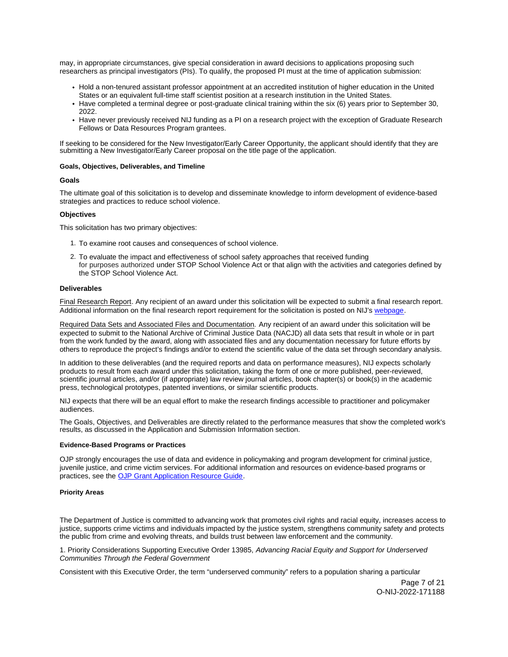<span id="page-7-0"></span>may, in appropriate circumstances, give special consideration in award decisions to applications proposing such researchers as principal investigators (PIs). To qualify, the proposed PI must at the time of application submission:

- Hold a non-tenured assistant professor appointment at an accredited institution of higher education in the United States or an equivalent full-time staff scientist position at a research institution in the United States.
- Have completed a terminal degree or post-graduate clinical training within the six (6) years prior to September 30, 2022.
- Have never previously received NIJ funding as a PI on a research project with the exception of Graduate Research Fellows or Data Resources Program grantees.

If seeking to be considered for the New Investigator/Early Career Opportunity, the applicant should identify that they are submitting a New Investigator/Early Career proposal on the title page of the application.

#### **Goals, Objectives, Deliverables, and Timeline**

#### **Goals**

The ultimate goal of this solicitation is to develop and disseminate knowledge to inform development of evidence-based strategies and practices to reduce school violence.

## **Objectives**

This solicitation has two primary objectives:

- 1. To examine root causes and consequences of school violence.
- 2. To evaluate the impact and effectiveness of school safety approaches that received funding for purposes authorized under STOP School Violence Act or that align with the activities and categories defined by the STOP School Violence Act.

#### **Deliverables**

Final Research Report. Any recipient of an award under this solicitation will be expected to submit a final research report. Additional information on the final research report requirement for the solicitation is posted on NIJ's [webpage.](https://nij.ojp.gov/funding/research-development-and-evaluation-grant-award-requirements#xp5fv)

Required Data Sets and Associated Files and Documentation. Any recipient of an award under this solicitation will be expected to submit to the National Archive of Criminal Justice Data (NACJD) all data sets that result in whole or in part from the work funded by the award, along with associated files and any documentation necessary for future efforts by others to reproduce the project's findings and/or to extend the scientific value of the data set through secondary analysis.

In addition to these deliverables (and the required reports and data on performance measures), NIJ expects scholarly products to result from each award under this solicitation, taking the form of one or more published, peer-reviewed, scientific journal articles, and/or (if appropriate) law review journal articles, book chapter(s) or book(s) in the academic press, technological prototypes, patented inventions, or similar scientific products.

NIJ expects that there will be an equal effort to make the research findings accessible to practitioner and policymaker audiences.

The Goals, Objectives, and Deliverables are directly related to the performance measures that show the completed work's results, as discussed in the Application and Submission Information section.

#### **Evidence-Based Programs or Practices**

OJP strongly encourages the use of data and evidence in policymaking and program development for criminal justice, juvenile justice, and crime victim services. For additional information and resources on evidence-based programs or practices, see the [OJP Grant Application Resource Guide.](https://www.ojp.gov/funding/apply/ojp-grant-application-resource-guide#evidence-based)

#### **Priority Areas**

The Department of Justice is committed to advancing work that promotes civil rights and racial equity, increases access to justice, supports crime victims and individuals impacted by the justice system, strengthens community safety and protects the public from crime and evolving threats, and builds trust between law enforcement and the community.

1. Priority Considerations Supporting Executive Order 13985, Advancing Racial Equity and Support for Underserved Communities Through the Federal Government

Consistent with this Executive Order, the term "underserved community" refers to a population sharing a particular

Page 7 of 21 O-NIJ-2022-171188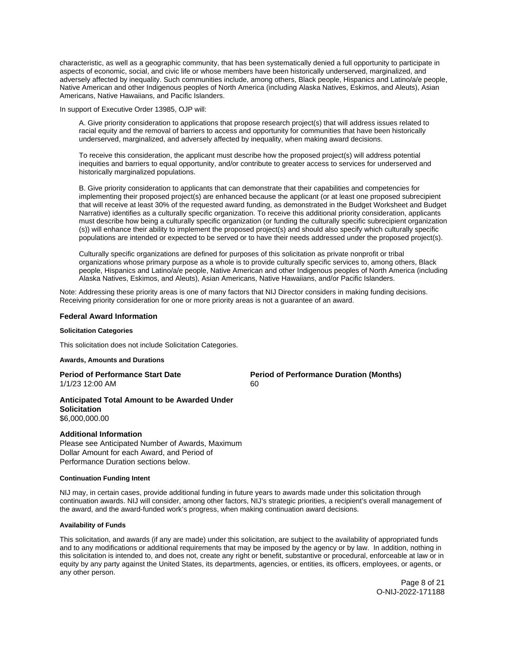<span id="page-8-0"></span>characteristic, as well as a geographic community, that has been systematically denied a full opportunity to participate in aspects of economic, social, and civic life or whose members have been historically underserved, marginalized, and adversely affected by inequality. Such communities include, among others, Black people, Hispanics and Latino/a/e people, Native American and other Indigenous peoples of North America (including Alaska Natives, Eskimos, and Aleuts), Asian Americans, Native Hawaiians, and Pacific Islanders.

In support of Executive Order 13985, OJP will:

A. Give priority consideration to applications that propose research project(s) that will address issues related to racial equity and the removal of barriers to access and opportunity for communities that have been historically underserved, marginalized, and adversely affected by inequality, when making award decisions.

To receive this consideration, the applicant must describe how the proposed project(s) will address potential inequities and barriers to equal opportunity, and/or contribute to greater access to services for underserved and historically marginalized populations.

B. Give priority consideration to applicants that can demonstrate that their capabilities and competencies for implementing their proposed project(s) are enhanced because the applicant (or at least one proposed subrecipient that will receive at least 30% of the requested award funding, as demonstrated in the Budget Worksheet and Budget Narrative) identifies as a culturally specific organization. To receive this additional priority consideration, applicants must describe how being a culturally specific organization (or funding the culturally specific subrecipient organization (s)) will enhance their ability to implement the proposed project(s) and should also specify which culturally specific populations are intended or expected to be served or to have their needs addressed under the proposed project(s).

Culturally specific organizations are defined for purposes of this solicitation as private nonprofit or tribal organizations whose primary purpose as a whole is to provide culturally specific services to, among others, Black people, Hispanics and Latino/a/e people, Native American and other Indigenous peoples of North America (including Alaska Natives, Eskimos, and Aleuts), Asian Americans, Native Hawaiians, and/or Pacific Islanders.

Note: Addressing these priority areas is one of many factors that NIJ Director considers in making funding decisions. Receiving priority consideration for one or more priority areas is not a guarantee of an award.

## **Federal Award Information**

#### **Solicitation Categories**

This solicitation does not include Solicitation Categories.

## **Awards, Amounts and Durations**

**Period of Performance Start Date**  Period of Performance Duration (Months) 1/1/23 12:00 AM 60

**Anticipated Total Amount to be Awarded Under Solicitation**  \$6,000,000.00

## **Additional Information**

Please see Anticipated Number of Awards, Maximum Dollar Amount for each Award, and Period of Performance Duration sections below.

#### **Continuation Funding Intent**

NIJ may, in certain cases, provide additional funding in future years to awards made under this solicitation through continuation awards. NIJ will consider, among other factors, NIJ's strategic priorities, a recipient's overall management of the award, and the award-funded work's progress, when making continuation award decisions.

## **Availability of Funds**

This solicitation, and awards (if any are made) under this solicitation, are subject to the availability of appropriated funds and to any modifications or additional requirements that may be imposed by the agency or by law. In addition, nothing in this solicitation is intended to, and does not, create any right or benefit, substantive or procedural, enforceable at law or in equity by any party against the United States, its departments, agencies, or entities, its officers, employees, or agents, or any other person.

> Page 8 of 21 O-NIJ-2022-171188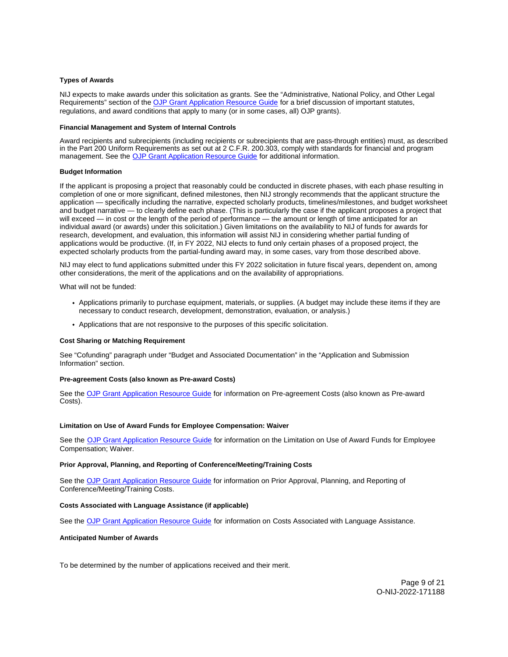#### <span id="page-9-0"></span>**Types of Awards**

NIJ expects to make awards under this solicitation as grants. See the "Administrative, National Policy, and Other Legal Requirements" section of the [OJP Grant Application Resource Guide](https://www.ojp.gov/funding/apply/ojp-grant-application-resource-guide#administrative) for a brief discussion of important statutes, regulations, and award conditions that apply to many (or in some cases, all) OJP grants).

#### **Financial Management and System of Internal Controls**

Award recipients and subrecipients (including recipients or subrecipients that are pass-through entities) must, as described in the Part 200 Uniform Requirements as set out at 2 C.F.R. 200.303, comply with standards for financial and program management. See the [OJP Grant Application Resource Guide](https://www.ojp.gov/funding/apply/ojp-grant-application-resource-guide#fm-internal-controls) for additional information.

#### **Budget Information**

If the applicant is proposing a project that reasonably could be conducted in discrete phases, with each phase resulting in completion of one or more significant, defined milestones, then NIJ strongly recommends that the applicant structure the application — specifically including the narrative, expected scholarly products, timelines/milestones, and budget worksheet and budget narrative — to clearly define each phase. (This is particularly the case if the applicant proposes a project that will exceed — in cost or the length of the period of performance — the amount or length of time anticipated for an individual award (or awards) under this solicitation.) Given limitations on the availability to NIJ of funds for awards for research, development, and evaluation, this information will assist NIJ in considering whether partial funding of applications would be productive. (If, in FY 2022, NIJ elects to fund only certain phases of a proposed project, the expected scholarly products from the partial-funding award may, in some cases, vary from those described above.

NIJ may elect to fund applications submitted under this FY 2022 solicitation in future fiscal years, dependent on, among other considerations, the merit of the applications and on the availability of appropriations.

What will not be funded:

- Applications primarily to purchase equipment, materials, or supplies. (A budget may include these items if they are necessary to conduct research, development, demonstration, evaluation, or analysis.)
- Applications that are not responsive to the purposes of this specific solicitation.

#### **Cost Sharing or Matching Requirement**

See "Cofunding" paragraph under "Budget and Associated Documentation" in the "Application and Submission Information" section.

#### **Pre-agreement Costs (also known as Pre-award Costs)**

See the [OJP Grant Application Resource Guide](https://www.ojp.gov/funding/apply/ojp-grant-application-resource-guide#pre-agreement-costs) for information on Pre-agreement Costs (also known as Pre-award Costs).

#### **Limitation on Use of Award Funds for Employee Compensation: Waiver**

See the [OJP Grant Application Resource Guide](https://www.ojp.gov/funding/apply/ojp-grant-application-resource-guide#limitation-use-award) for information on the Limitation on Use of Award Funds for Employee Compensation; Waiver.

#### **Prior Approval, Planning, and Reporting of Conference/Meeting/Training Costs**

See the [OJP Grant Application Resource Guide](https://www.ojp.gov/funding/apply/ojp-grant-application-resource-guide#prior-approval) for information on Prior Approval, Planning, and Reporting of Conference/Meeting/Training Costs.

#### **Costs Associated with Language Assistance (if applicable)**

See the [OJP Grant Application Resource Guide](https://www.ojp.gov/funding/apply/ojp-grant-application-resource-guide#costs-associated) for information on Costs Associated with Language Assistance.

#### **Anticipated Number of Awards**

To be determined by the number of applications received and their merit.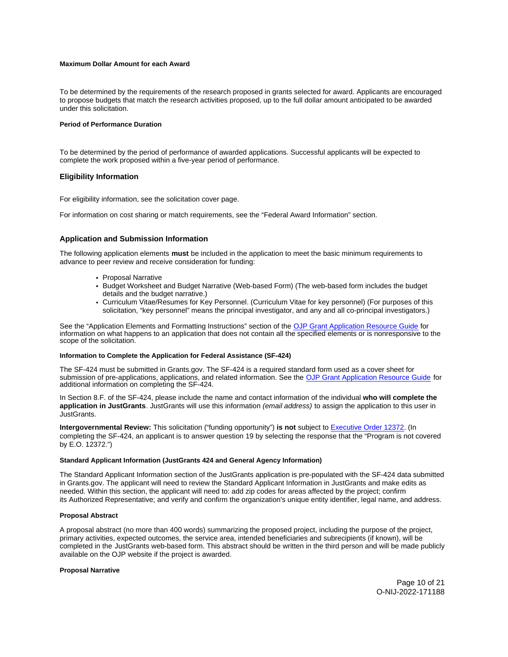## <span id="page-10-0"></span>**Maximum Dollar Amount for each Award**

To be determined by the requirements of the research proposed in grants selected for award. Applicants are encouraged to propose budgets that match the research activities proposed, up to the full dollar amount anticipated to be awarded under this solicitation.

#### **Period of Performance Duration**

To be determined by the period of performance of awarded applications. Successful applicants will be expected to complete the work proposed within a five-year period of performance.

## **Eligibility Information**

For eligibility information, see the solicitation cover page.

For information on cost sharing or match requirements, see the "Federal Award Information" section.

## **Application and Submission Information**

The following application elements **must** be included in the application to meet the basic minimum requirements to advance to peer review and receive consideration for funding:

- Proposal Narrative
- Budget Worksheet and Budget Narrative (Web-based Form) (The web-based form includes the budget details and the budget narrative.)
- Curriculum Vitae/Resumes for Key Personnel. (Curriculum Vitae for key personnel) (For purposes of this solicitation, "key personnel" means the principal investigator, and any and all co-principal investigators.)

See the "Application Elements and Formatting Instructions" section of the [OJP Grant Application Resource Guide](https://www.ojp.gov/funding/apply/ojp-grant-application-resource-guide#application-elements) for information on what happens to an application that does not contain all the specified elements or is nonresponsive to the scope of the solicitation.

#### **Information to Complete the Application for Federal Assistance (SF-424)**

The SF-424 must be submitted in [Grants.gov](https://Grants.gov). The SF-424 is a required standard form used as a cover sheet for submission of pre-applications, applications, and related information. See the [OJP Grant Application Resource Guide](https://www.ojp.gov/funding/apply/ojp-grant-application-resource-guide#complete-application) for additional information on completing the SF-424.

In Section 8.F. of the SF-424, please include the name and contact information of the individual **who will complete the application in JustGrants**. JustGrants will use this information (email address) to assign the application to this user in JustGrants.

**Intergovernmental Review:** This solicitation ("funding opportunity") **is not** subject to [Executive Order 12372.](https://www.archives.gov/federal-register/codification/executive-order/12372.html) (In completing the SF-424, an applicant is to answer question 19 by selecting the response that the "Program is not covered by E.O. 12372.")

#### **Standard Applicant Information (JustGrants 424 and General Agency Information)**

The Standard Applicant Information section of the JustGrants application is pre-populated with the SF-424 data submitted in [Grants.gov](https://Grants.gov). The applicant will need to review the Standard Applicant Information in JustGrants and make edits as needed. Within this section, the applicant will need to: add zip codes for areas affected by the project; confirm its Authorized Representative; and verify and confirm the organization's unique entity identifier, legal name, and address.

## **Proposal Abstract**

A proposal abstract (no more than 400 words) summarizing the proposed project, including the purpose of the project, primary activities, expected outcomes, the service area, intended beneficiaries and subrecipients (if known), will be completed in the JustGrants web-based form. This abstract should be written in the third person and will be made publicly available on the OJP website if the project is awarded.

#### **Proposal Narrative**

Page 10 of 21 O-NIJ-2022-171188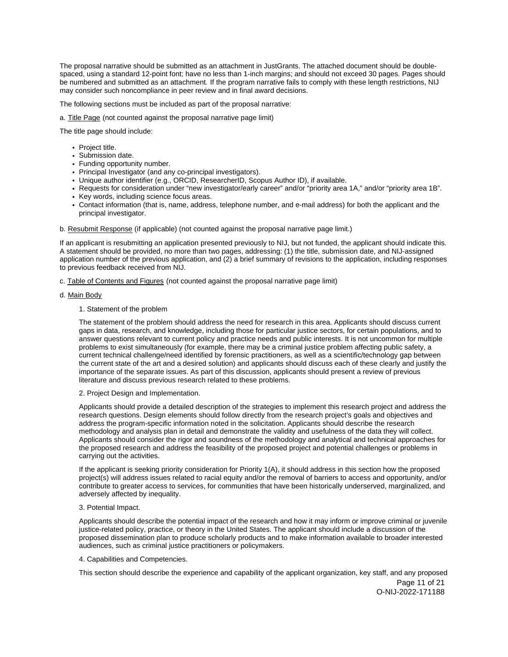The proposal narrative should be submitted as an attachment in JustGrants. The attached document should be doublespaced, using a standard 12-point font; have no less than 1-inch margins; and should not exceed 30 pages. Pages should be numbered and submitted as an attachment. If the program narrative fails to comply with these length restrictions, NIJ may consider such noncompliance in peer review and in final award decisions.

The following sections must be included as part of the proposal narrative:

a. Title Page (not counted against the proposal narrative page limit)

The title page should include:

- Project title.
- Submission date.
- Funding opportunity number.
- Principal Investigator (and any co-principal investigators).
- Unique author identifier (e.g., ORCID, ResearcherID, Scopus Author ID), if available.
- Requests for consideration under "new investigator/early career" and/or "priority area 1A," and/or "priority area 1B".
- Key words, including science focus areas.
- Contact information (that is, name, address, telephone number, and e-mail address) for both the applicant and the principal investigator.

#### b. Resubmit Response (if applicable) (not counted against the proposal narrative page limit.)

If an applicant is resubmitting an application presented previously to NIJ, but not funded, the applicant should indicate this. A statement should be provided, no more than two pages, addressing: (1) the title, submission date, and NIJ-assigned application number of the previous application, and (2) a brief summary of revisions to the application, including responses to previous feedback received from NIJ.

- c. Table of Contents and Figures (not counted against the proposal narrative page limit)
- d. Main Body

#### 1. Statement of the problem

The statement of the problem should address the need for research in this area. Applicants should discuss current gaps in data, research, and knowledge, including those for particular justice sectors, for certain populations, and to answer questions relevant to current policy and practice needs and public interests. It is not uncommon for multiple problems to exist simultaneously (for example, there may be a criminal justice problem affecting public safety, a current technical challenge/need identified by forensic practitioners, as well as a scientific/technology gap between the current state of the art and a desired solution) and applicants should discuss each of these clearly and justify the importance of the separate issues. As part of this discussion, applicants should present a review of previous literature and discuss previous research related to these problems.

2. Project Design and Implementation.

Applicants should provide a detailed description of the strategies to implement this research project and address the research questions. Design elements should follow directly from the research project's goals and objectives and address the program-specific information noted in the solicitation. Applicants should describe the research methodology and analysis plan in detail and demonstrate the validity and usefulness of the data they will collect. Applicants should consider the rigor and soundness of the methodology and analytical and technical approaches for the proposed research and address the feasibility of the proposed project and potential challenges or problems in carrying out the activities.

If the applicant is seeking priority consideration for Priority 1(A), it should address in this section how the proposed project(s) will address issues related to racial equity and/or the removal of barriers to access and opportunity, and/or contribute to greater access to services, for communities that have been historically underserved, marginalized, and adversely affected by inequality.

#### 3. Potential Impact.

Applicants should describe the potential impact of the research and how it may inform or improve criminal or juvenile justice-related policy, practice, or theory in the United States. The applicant should include a discussion of the proposed dissemination plan to produce scholarly products and to make information available to broader interested audiences, such as criminal justice practitioners or policymakers.

#### 4. Capabilities and Competencies.

This section should describe the experience and capability of the applicant organization, key staff, and any proposed

Page 11 of 21 O-NIJ-2022-171188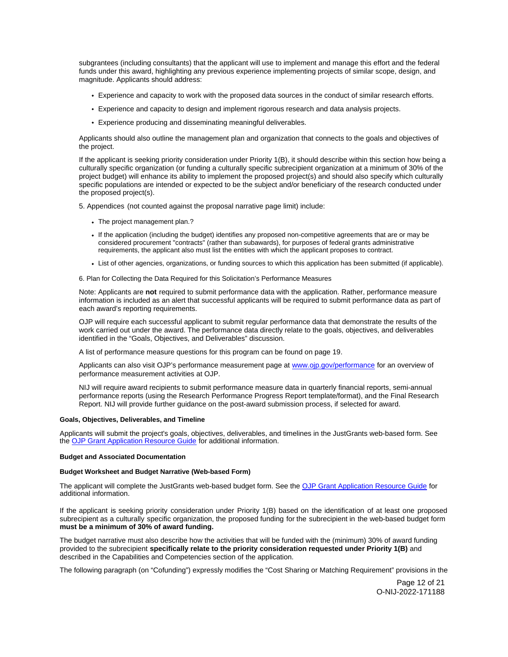<span id="page-12-0"></span>subgrantees (including consultants) that the applicant will use to implement and manage this effort and the federal funds under this award, highlighting any previous experience implementing projects of similar scope, design, and magnitude. Applicants should address:

- Experience and capacity to work with the proposed data sources in the conduct of similar research efforts.
- Experience and capacity to design and implement rigorous research and data analysis projects.
- Experience producing and disseminating meaningful deliverables.

Applicants should also outline the management plan and organization that connects to the goals and objectives of the project.

If the applicant is seeking priority consideration under Priority 1(B), it should describe within this section how being a culturally specific organization (or funding a culturally specific subrecipient organization at a minimum of 30% of the project budget) will enhance its ability to implement the proposed project(s) and should also specify which culturally specific populations are intended or expected to be the subject and/or beneficiary of the research conducted under the proposed project(s).

5. Appendices (not counted against the proposal narrative page limit) include:

- The project management plan.?
- If the application (including the budget) identifies any proposed non-competitive agreements that are or may be considered procurement "contracts" (rather than subawards), for purposes of federal grants administrative requirements, the applicant also must list the entities with which the applicant proposes to contract.
- List of other agencies, organizations, or funding sources to which this application has been submitted (if applicable).

6. Plan for Collecting the Data Required for this Solicitation's Performance Measures

Note: Applicants are **not** required to submit performance data with the application. Rather, performance measure information is included as an alert that successful applicants will be required to submit performance data as part of each award's reporting requirements.

OJP will require each successful applicant to submit regular performance data that demonstrate the results of the work carried out under the award. The performance data directly relate to the goals, objectives, and deliverables identified in the "Goals, Objectives, and Deliverables" discussion.

A list of performance measure questions for this program can be found on page 19.

Applicants can also visit OJP's performance measurement page at [www.ojp.gov/performance](https://www.ojp.gov/performance) for an overview of performance measurement activities at OJP.

NIJ will require award recipients to submit performance measure data in quarterly financial reports, semi-annual performance reports (using the Research Performance Progress Report template/format), and the Final Research Report. NIJ will provide further guidance on the post-award submission process, if selected for award.

#### **Goals, Objectives, Deliverables, and Timeline**

Applicants will submit the project's goals, objectives, deliverables, and timelines in the JustGrants web-based form. See the [OJP Grant Application Resource Guide](https://www.ojp.gov/funding/apply/ojp-grant-application-resource-guide) for additional information.

#### **Budget and Associated Documentation**

#### **Budget Worksheet and Budget Narrative (Web-based Form)**

The applicant will complete the JustGrants web-based budget form. See the [OJP Grant Application Resource Guide](https://www.ojp.gov/funding/apply/ojp-grant-application-resource-guide#budget-prep) for additional information.

If the applicant is seeking priority consideration under Priority 1(B) based on the identification of at least one proposed subrecipient as a culturally specific organization, the proposed funding for the subrecipient in the web-based budget form **must be a minimum of 30% of award funding.** 

The budget narrative must also describe how the activities that will be funded with the (minimum) 30% of award funding provided to the subrecipient **specifically relate to the priority consideration requested under Priority 1(B)** and described in the Capabilities and Competencies section of the application.

The following paragraph (on "Cofunding") expressly modifies the "Cost Sharing or Matching Requirement" provisions in the

Page 12 of 21 O-NIJ-2022-171188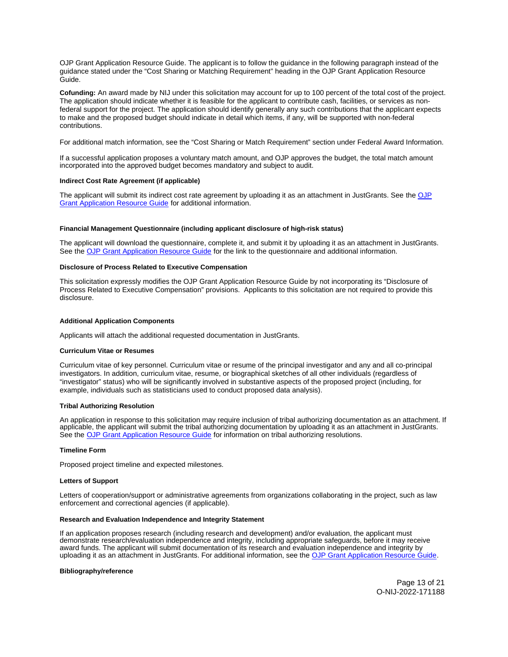<span id="page-13-0"></span>OJP Grant Application Resource Guide. The applicant is to follow the guidance in the following paragraph instead of the guidance stated under the "Cost Sharing or Matching Requirement" heading in the OJP Grant Application Resource Guide.

**Cofunding:** An award made by NIJ under this solicitation may account for up to 100 percent of the total cost of the project. The application should indicate whether it is feasible for the applicant to contribute cash, facilities, or services as nonfederal support for the project. The application should identify generally any such contributions that the applicant expects to make and the proposed budget should indicate in detail which items, if any, will be supported with non-federal contributions.

For additional match information, see the "Cost Sharing or Match Requirement" section under Federal Award Information.

If a successful application proposes a voluntary match amount, and OJP approves the budget, the total match amount incorporated into the approved budget becomes mandatory and subject to audit.

#### **Indirect Cost Rate Agreement (if applicable)**

The applicant will submit its indirect cost rate agreement by uploading it as an attachment in JustGrants. See the OJP [Grant Application Resource Guide](https://www.ojp.gov/funding/apply/ojp-grant-application-resource-guide#indirect-cost) for additional information.

#### **Financial Management Questionnaire (including applicant disclosure of high-risk status)**

The applicant will download the questionnaire, complete it, and submit it by uploading it as an attachment in JustGrants. See the [OJP Grant Application Resource Guide](https://www.ojp.gov/funding/apply/ojp-grant-application-resource-guide#fm-internal-controls-questionnaire) for the link to the questionnaire and additional information.

#### **Disclosure of Process Related to Executive Compensation**

This solicitation expressly modifies the OJP Grant Application Resource Guide by not incorporating its "Disclosure of Process Related to Executive Compensation" provisions. Applicants to this solicitation are not required to provide this disclosure.

#### **Additional Application Components**

Applicants will attach the additional requested documentation in JustGrants.

#### **Curriculum Vitae or Resumes**

Curriculum vitae of key personnel. Curriculum vitae or resume of the principal investigator and any and all co-principal investigators. In addition, curriculum vitae, resume, or biographical sketches of all other individuals (regardless of "investigator" status) who will be significantly involved in substantive aspects of the proposed project (including, for example, individuals such as statisticians used to conduct proposed data analysis).

#### **Tribal Authorizing Resolution**

An application in response to this solicitation may require inclusion of tribal authorizing documentation as an attachment. If applicable, the applicant will submit the tribal authorizing documentation by uploading it as an attachment in JustGrants. See the **[OJP Grant Application Resource Guide](https://www.ojp.gov/funding/apply/ojp-grant-application-resource-guide#tribal-authorizing-resolution) for information on tribal authorizing resolutions.** 

#### **Timeline Form**

Proposed project timeline and expected milestones.

#### **Letters of Support**

Letters of cooperation/support or administrative agreements from organizations collaborating in the project, such as law enforcement and correctional agencies (if applicable).

#### **Research and Evaluation Independence and Integrity Statement**

If an application proposes research (including research and development) and/or evaluation, the applicant must demonstrate research/evaluation independence and integrity, including appropriate safeguards, before it may receive award funds. The applicant will submit documentation of its research and evaluation independence and integrity by uploading it as an attachment in JustGrants. For additional information, see the [OJP Grant Application Resource Guide.](https://www.ojp.gov/funding/apply/ojp-grant-application-resource-guide#research-evaluation)

#### **Bibliography/reference**

Page 13 of 21 O-NIJ-2022-171188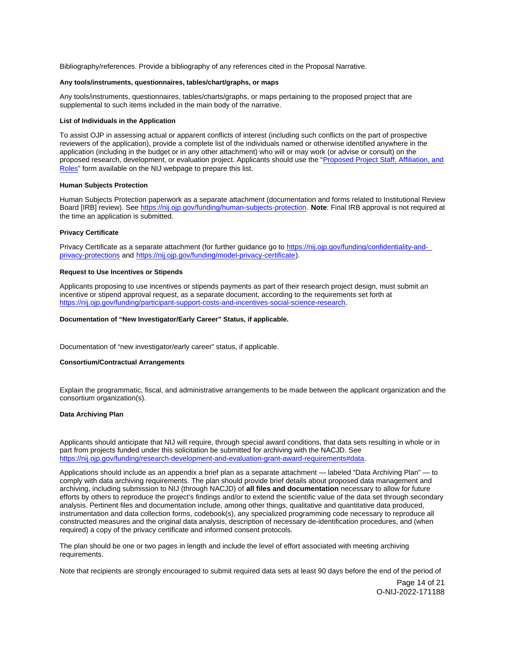<span id="page-14-0"></span>Bibliography/references. Provide a bibliography of any references cited in the Proposal Narrative.

## **Any tools/instruments, questionnaires, tables/chart/graphs, or maps**

Any tools/instruments, questionnaires, tables/charts/graphs, or maps pertaining to the proposed project that are supplemental to such items included in the main body of the narrative.

#### **List of Individuals in the Application**

To assist OJP in assessing actual or apparent conflicts of interest (including such conflicts on the part of prospective reviewers of the application), provide a complete list of the individuals named or otherwise identified anywhere in the application (including in the budget or in any other attachment) who will or may work (or advise or consult) on the proposed research, development, or evaluation project. Applicants should use the ["Proposed Project Staff, Affiliation, and](http://nij.ojp.gov/sites/g/files/xyckuh171/files/media/document/nij-project-staff-template.xlsx)  [Roles"](http://nij.ojp.gov/sites/g/files/xyckuh171/files/media/document/nij-project-staff-template.xlsx) form available on the NIJ webpage to prepare this list.

#### **Human Subjects Protection**

Human Subjects Protection paperwork as a separate attachment (documentation and forms related to Institutional Review Board [IRB] review). See [https://nij.ojp.gov/funding/human-subjects-protection.](https://nij.ojp.gov/funding/human-subjects-protection) **Note**: Final IRB approval is not required at the time an application is submitted.

#### **Privacy Certificate**

Privacy Certificate as a separate attachment (for further guidance go to [https://nij.ojp.gov/funding/confidentiality-and](https://nij.ojp.gov/funding/confidentiality-and-privacy-protections)[privacy-protections](https://nij.ojp.gov/funding/confidentiality-and-privacy-protections) and [https://nij.ojp.gov/funding/model-privacy-certificate\)](https://nij.ojp.gov/funding/model-privacy-certificate).

#### **Request to Use Incentives or Stipends**

Applicants proposing to use incentives or stipends payments as part of their research project design, must submit an incentive or stipend approval request, as a separate document, according to the requirements set forth at [https://nij.ojp.gov/funding/participant-support-costs-and-incentives-social-science-research.](https://nij.ojp.gov/funding/participant-support-costs-and-incentives-social-science-research)

#### **Documentation of "New Investigator/Early Career" Status, if applicable.**

Documentation of "new investigator/early career" status, if applicable.

#### **Consortium/Contractual Arrangements**

Explain the programmatic, fiscal, and administrative arrangements to be made between the applicant organization and the consortium organization(s).

## **Data Archiving Plan**

Applicants should anticipate that NIJ will require, through special award conditions, that data sets resulting in whole or in part from projects funded under this solicitation be submitted for archiving with the NACJD. See [https://nij.ojp.gov/funding/research-development-and-evaluation-grant-award-requirements#data.](https://nij.ojp.gov/funding/research-development-and-evaluation-grant-award-requirements#data)

Applications should include as an appendix a brief plan as a separate attachment — labeled "Data Archiving Plan" — to comply with data archiving requirements. The plan should provide brief details about proposed data management and archiving, including submission to NIJ (through NACJD) of **all files and documentation** necessary to allow for future efforts by others to reproduce the project's findings and/or to extend the scientific value of the data set through secondary analysis. Pertinent files and documentation include, among other things, qualitative and quantitative data produced, instrumentation and data collection forms, codebook(s), any specialized programming code necessary to reproduce all constructed measures and the original data analysis, description of necessary de-identification procedures, and (when required) a copy of the privacy certificate and informed consent protocols.

The plan should be one or two pages in length and include the level of effort associated with meeting archiving requirements.

Note that recipients are strongly encouraged to submit required data sets at least 90 days before the end of the period of

Page 14 of 21 O-NIJ-2022-171188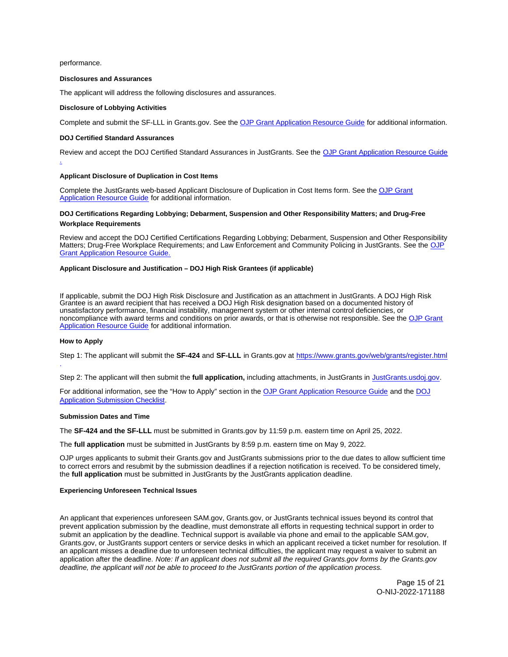<span id="page-15-0"></span>performance.

.

#### **Disclosures and Assurances**

The applicant will address the following disclosures and assurances.

#### **Disclosure of Lobbying Activities**

Complete and submit the SF-LLL in [Grants.gov](https://Grants.gov). See the [OJP Grant Application Resource Guide](https://www.ojp.gov/funding/apply/ojp-grant-application-resource-guide#disclosure-lobby) for additional information.

#### **DOJ Certified Standard Assurances**

Review and accept the DOJ Certified Standard Assurances in JustGrants. See the [OJP Grant Application Resource Guide](https://www.ojp.gov/funding/apply/ojp-grant-application-resource-guide#administrative) 

#### **Applicant Disclosure of Duplication in Cost Items**

Complete the JustGrants web-based Applicant Disclosure of Duplication in Cost Items form. See the [OJP Grant](https://www.ojp.gov/funding/apply/ojp-grant-application-resource-guide#applicant-disclosure-pending-applications)  [Application Resource Guide](https://www.ojp.gov/funding/apply/ojp-grant-application-resource-guide#applicant-disclosure-pending-applications) for additional information.

## **DOJ Certifications Regarding Lobbying; Debarment, Suspension and Other Responsibility Matters; and Drug-Free Workplace Requirements**

Review and accept the DOJ Certified Certifications Regarding Lobbying; Debarment, Suspension and Other Responsibility Matters; Drug-Free Workplace Requirements; and Law Enforcement and Community Policing in JustGrants. See the [OJP](https://www.ojp.gov/funding/apply/ojp-grant-application-resource-guide#administrative)  [Grant Application Resource Guide.](https://www.ojp.gov/funding/apply/ojp-grant-application-resource-guide#administrative) 

#### **Applicant Disclosure and Justification – DOJ High Risk Grantees (if applicable)**

If applicable, submit the DOJ High Risk Disclosure and Justification as an attachment in JustGrants. A DOJ High Risk Grantee is an award recipient that has received a DOJ High Risk designation based on a documented history of unsatisfactory performance, financial instability, management system or other internal control deficiencies, or noncompliance with award terms and conditions on prior awards, or that is otherwise not responsible. See the [OJP Grant](https://www.ojp.gov/funding/apply/ojp-grant-application-resource-guide#applicant-disclosure-justification)  [Application Resource Guide](https://www.ojp.gov/funding/apply/ojp-grant-application-resource-guide#applicant-disclosure-justification) for additional information.

#### **How to Apply**

Step 1: The applicant will submit the **SF-424** and **SF-LLL** in [Grants.gov](https://Grants.gov) at <https://www.grants.gov/web/grants/register.html> .

Step 2: The applicant will then submit the **full application,** including attachments, in JustGrants in [JustGrants.usdoj.gov.](https://justicegrants.usdoj.gov/)

For additional information, see the "How to Apply" section in the [OJP Grant Application Resource Guide](https://www.ojp.gov/funding/apply/ojp-grant-application-resource-guide#apply) and the [DOJ](https://justicegrants.usdoj.gov/sites/g/files/xyckuh296/files/media/document/appln-submission-checklist.pdf)  [Application Submission Checklist.](https://justicegrants.usdoj.gov/sites/g/files/xyckuh296/files/media/document/appln-submission-checklist.pdf)

#### **Submission Dates and Time**

The **SF-424 and the SF-LLL** must be submitted in [Grants.gov](https://Grants.gov) by 11:59 p.m. eastern time on April 25, 2022.

The **full application** must be submitted in JustGrants by 8:59 p.m. eastern time on May 9, 2022.

OJP urges applicants to submit their [Grants.gov](https://Grants.gov) and JustGrants submissions prior to the due dates to allow sufficient time to correct errors and resubmit by the submission deadlines if a rejection notification is received. To be considered timely, the **full application** must be submitted in JustGrants by the JustGrants application deadline.

#### **Experiencing Unforeseen Technical Issues**

An applicant that experiences unforeseen SAM.gov, [Grants.gov](https://Grants.gov), or JustGrants technical issues beyond its control that prevent application submission by the deadline, must demonstrate all efforts in requesting technical support in order to submit an application by the deadline. Technical support is available via phone and email to the applicable SAM.gov, [Grants.gov](https://Grants.gov), or JustGrants support centers or service desks in which an applicant received a ticket number for resolution. If an applicant misses a deadline due to unforeseen technical difficulties, the applicant may request a waiver to submit an application after the deadline. Note: If an applicant does not submit all the required [Grants.gov](https://Grants.gov) forms by the [Grants.gov](https://Grants.gov) deadline, the applicant will not be able to proceed to the JustGrants portion of the application process.

> Page 15 of 21 O-NIJ-2022-171188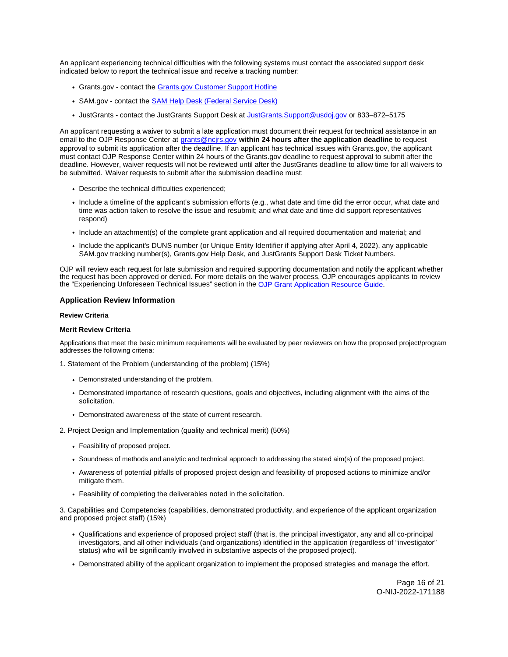<span id="page-16-0"></span>An applicant experiencing technical difficulties with the following systems must contact the associated support desk indicated below to report the technical issue and receive a tracking number:

- Grants.gov contact the [Grants.gov Customer Support Hotline](https://www.grants.gov/web/grants/support.html)
- SAM.gov contact the **SAM Help Desk (Federal Service Desk)**
- JustGrants contact the JustGrants Support Desk at [JustGrants.Support@usdoj.gov](mailto:JustGrants.Support@usdoj.gov) or 833-872-5175

An applicant requesting a waiver to submit a late application must document their request for technical assistance in an email to the OJP Response Center at [grants@ncjrs.gov](file:///C:/Users/local_Yehj/INetCache/Content.Outlook/20U4XBR7/grants@ncjrs.gov) **within 24 hours after the application deadline** to request approval to submit its application after the deadline. If an applicant has technical issues with [Grants.gov,](https://Grants.gov) the applicant must contact OJP Response Center within 24 hours of the [Grants.gov](https://Grants.gov) deadline to request approval to submit after the deadline. However, waiver requests will not be reviewed until after the JustGrants deadline to allow time for all waivers to be submitted. Waiver requests to submit after the submission deadline must:

- Describe the technical difficulties experienced;
- Include a timeline of the applicant's submission efforts (e.g., what date and time did the error occur, what date and time was action taken to resolve the issue and resubmit; and what date and time did support representatives respond)
- Include an attachment(s) of the complete grant application and all required documentation and material; and
- Include the applicant's DUNS number (or Unique Entity Identifier if applying after April 4, 2022), any applicable SAM.gov tracking number(s), [Grants.gov](https://Grants.gov) Help Desk, and JustGrants Support Desk Ticket Numbers.

OJP will review each request for late submission and required supporting documentation and notify the applicant whether the request has been approved or denied. For more details on the waiver process, OJP encourages applicants to review the "Experiencing Unforeseen Technical Issues" section in the [OJP Grant Application Resource Guide](https://www.ojp.gov/funding/apply/ojp-grant-application-resource-guide#experiencing-unforeseen-technical-issues).

## **Application Review Information**

## **Review Criteria**

#### **Merit Review Criteria**

Applications that meet the basic minimum requirements will be evaluated by peer reviewers on how the proposed project/program addresses the following criteria:

1. Statement of the Problem (understanding of the problem) (15%)

- Demonstrated understanding of the problem.
- Demonstrated importance of research questions, goals and objectives, including alignment with the aims of the solicitation.
- Demonstrated awareness of the state of current research.

2. Project Design and Implementation (quality and technical merit) (50%)

- Feasibility of proposed project.
- Soundness of methods and analytic and technical approach to addressing the stated aim(s) of the proposed project.
- Awareness of potential pitfalls of proposed project design and feasibility of proposed actions to minimize and/or mitigate them.
- Feasibility of completing the deliverables noted in the solicitation.

3. Capabilities and Competencies (capabilities, demonstrated productivity, and experience of the applicant organization and proposed project staff) (15%)

- Qualifications and experience of proposed project staff (that is, the principal investigator, any and all co-principal investigators, and all other individuals (and organizations) identified in the application (regardless of "investigator" status) who will be significantly involved in substantive aspects of the proposed project).
- Demonstrated ability of the applicant organization to implement the proposed strategies and manage the effort.

Page 16 of 21 O-NIJ-2022-171188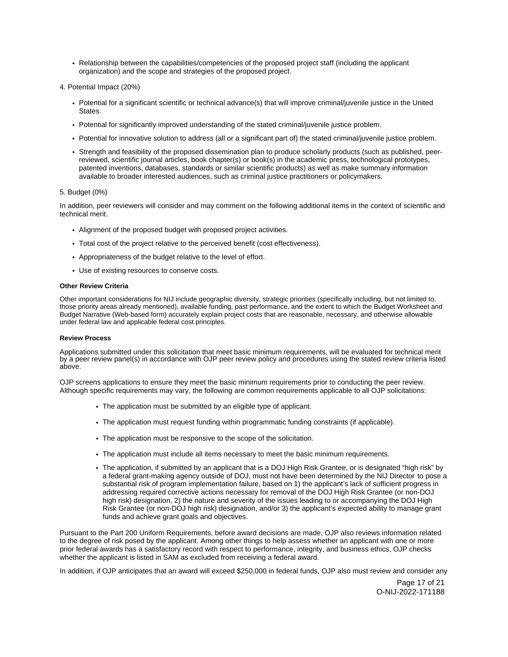- <span id="page-17-0"></span>Relationship between the capabilities/competencies of the proposed project staff (including the applicant organization) and the scope and strategies of the proposed project.
- 4. Potential Impact (20%)
	- Potential for a significant scientific or technical advance(s) that will improve criminal/juvenile justice in the United States.
	- Potential for significantly improved understanding of the stated criminal/juvenile justice problem.
	- Potential for innovative solution to address (all or a significant part of) the stated criminal/juvenile justice problem.
	- Strength and feasibility of the proposed dissemination plan to produce scholarly products (such as published, peerreviewed, scientific journal articles, book chapter(s) or book(s) in the academic press, technological prototypes, patented inventions, databases, standards or similar scientific products) as well as make summary information available to broader interested audiences, such as criminal justice practitioners or policymakers.

#### 5. Budget (0%)

In addition, peer reviewers will consider and may comment on the following additional items in the context of scientific and technical merit.

- Alignment of the proposed budget with proposed project activities.
- Total cost of the project relative to the perceived benefit (cost effectiveness).
- Appropriateness of the budget relative to the level of effort.
- Use of existing resources to conserve costs.

## **Other Review Criteria**

Other important considerations for NIJ include geographic diversity, strategic priorities (specifically including, but not limited to, those priority areas already mentioned), available funding, past performance, and the extent to which the Budget Worksheet and Budget Narrative (Web-based form) accurately explain project costs that are reasonable, necessary, and otherwise allowable under federal law and applicable federal cost principles.

#### **Review Process**

Applications submitted under this solicitation that meet basic minimum requirements, will be evaluated for technical merit by a peer review panel(s) in accordance with OJP peer review policy and procedures using the stated review criteria listed above.

OJP screens applications to ensure they meet the basic minimum requirements prior to conducting the peer review. Although specific requirements may vary, the following are common requirements applicable to all OJP solicitations:

- The application must be submitted by an eligible type of applicant.
- The application must request funding within programmatic funding constraints (if applicable).
- The application must be responsive to the scope of the solicitation.
- The application must include all items necessary to meet the basic minimum requirements.
- The application, if submitted by an applicant that is a DOJ High Risk Grantee, or is designated "high risk" by a federal grant-making agency outside of DOJ, must not have been determined by the NIJ Director to pose a substantial risk of program implementation failure, based on 1) the applicant's lack of sufficient progress in addressing required corrective actions necessary for removal of the DOJ High Risk Grantee (or non-DOJ high risk) designation, 2) the nature and severity of the issues leading to or accompanying the DOJ High Risk Grantee (or non-DOJ high risk) designation, and/or 3) the applicant's expected ability to manage grant funds and achieve grant goals and objectives.

Pursuant to the Part 200 Uniform Requirements, before award decisions are made, OJP also reviews information related to the degree of risk posed by the applicant. Among other things to help assess whether an applicant with one or more prior federal awards has a satisfactory record with respect to performance, integrity, and business ethics, OJP checks whether the applicant is listed in SAM as excluded from receiving a federal award.

In addition, if OJP anticipates that an award will exceed \$250,000 in federal funds, OJP also must review and consider any

Page 17 of 21 O-NIJ-2022-171188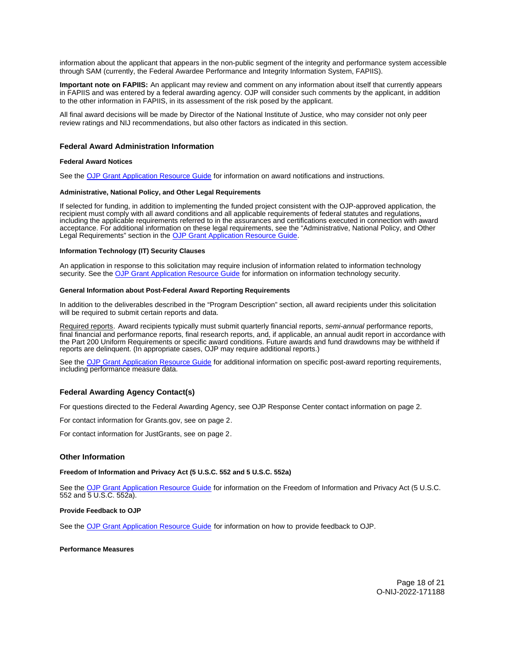<span id="page-18-0"></span>information about the applicant that appears in the non-public segment of the integrity and performance system accessible through SAM (currently, the Federal Awardee Performance and Integrity Information System, FAPIIS).

**Important note on FAPIIS:** An applicant may review and comment on any information about itself that currently appears in FAPIIS and was entered by a federal awarding agency. OJP will consider such comments by the applicant, in addition to the other information in FAPIIS, in its assessment of the risk posed by the applicant.

All final award decisions will be made by Director of the National Institute of Justice, who may consider not only peer review ratings and NIJ recommendations, but also other factors as indicated in this section.

## **Federal Award Administration Information**

#### **Federal Award Notices**

See the [OJP Grant Application Resource Guide](https://www.ojp.gov/funding/apply/ojp-grant-application-resource-guide#federal-award-notices) for information on award notifications and instructions.

#### **Administrative, National Policy, and Other Legal Requirements**

If selected for funding, in addition to implementing the funded project consistent with the OJP-approved application, the recipient must comply with all award conditions and all applicable requirements of federal statutes and regulations, including the applicable requirements referred to in the assurances and certifications executed in connection with award acceptance. For additional information on these legal requirements, see the "Administrative, National Policy, and Other Legal Requirements" section in the [OJP Grant Application Resource Guide.](https://www.ojp.gov/funding/apply/ojp-grant-application-resource-guide#administrative)

#### **Information Technology (IT) Security Clauses**

An application in response to this solicitation may require inclusion of information related to information technology security. See the [OJP Grant Application Resource Guide](https://www.ojp.gov/funding/apply/ojp-grant-application-resource-guide#information-technology) for information on information technology security.

#### **General Information about Post-Federal Award Reporting Requirements**

In addition to the deliverables described in the "Program Description" section, all award recipients under this solicitation will be required to submit certain reports and data.

Required reports. Award recipients typically must submit quarterly financial reports, semi-annual performance reports, final financial and performance reports, final research reports, and, if applicable, an annual audit report in accordance with the Part 200 Uniform Requirements or specific award conditions. Future awards and fund drawdowns may be withheld if reports are delinquent. (In appropriate cases, OJP may require additional reports.)

See the [OJP Grant Application Resource Guide](https://www.ojp.gov/funding/apply/ojp-grant-application-resource-guide#general-information) for additional information on specific post-award reporting requirements, including performance measure data.

## **Federal Awarding Agency Contact(s)**

For questions directed to the Federal Awarding Agency, see OJP Response Center contact information on page 2.

For contact information for [Grants.gov](https://Grants.gov), see on page 2.

For contact information for JustGrants, see on page 2.

#### **Other Information**

#### **Freedom of Information and Privacy Act (5 U.S.C. 552 and 5 U.S.C. 552a)**

See the [OJP Grant Application Resource Guide](https://www.ojp.gov/funding/apply/ojp-grant-application-resource-guide#foia) for information on the Freedom of Information and Privacy Act (5 U.S.C. 552 and 5 U.S.C. 552a).

#### **Provide Feedback to OJP**

See the [OJP Grant Application Resource Guide](https://www.ojp.gov/funding/apply/ojp-grant-application-resource-guide#feedback) for information on how to provide feedback to OJP.

#### **Performance Measures**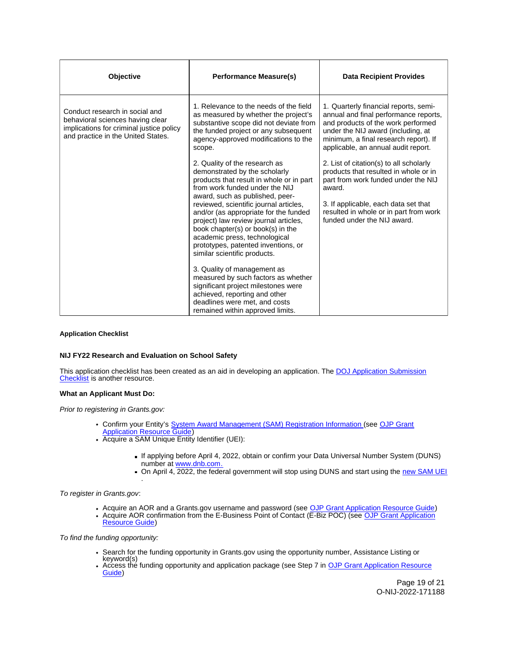<span id="page-19-0"></span>

| <b>Objective</b>                                                                                                                                     | <b>Performance Measure(s)</b>                                                                                                                                                                                                                                                                                                                                                                                                                                                                                                                                                                                                                                               | <b>Data Recipient Provides</b>                                                                                                                                                                                                                     |
|------------------------------------------------------------------------------------------------------------------------------------------------------|-----------------------------------------------------------------------------------------------------------------------------------------------------------------------------------------------------------------------------------------------------------------------------------------------------------------------------------------------------------------------------------------------------------------------------------------------------------------------------------------------------------------------------------------------------------------------------------------------------------------------------------------------------------------------------|----------------------------------------------------------------------------------------------------------------------------------------------------------------------------------------------------------------------------------------------------|
| Conduct research in social and<br>behavioral sciences having clear<br>implications for criminal justice policy<br>and practice in the United States. | 1. Relevance to the needs of the field<br>as measured by whether the project's<br>substantive scope did not deviate from<br>the funded project or any subsequent<br>agency-approved modifications to the<br>scope.                                                                                                                                                                                                                                                                                                                                                                                                                                                          | 1. Quarterly financial reports, semi-<br>annual and final performance reports,<br>and products of the work performed<br>under the NIJ award (including, at<br>minimum, a final research report). If<br>applicable, an annual audit report.         |
|                                                                                                                                                      | 2. Quality of the research as<br>demonstrated by the scholarly<br>products that result in whole or in part<br>from work funded under the NIJ<br>award, such as published, peer-<br>reviewed, scientific journal articles,<br>and/or (as appropriate for the funded<br>project) law review journal articles,<br>book chapter(s) or book(s) in the<br>academic press, technological<br>prototypes, patented inventions, or<br>similar scientific products.<br>3. Quality of management as<br>measured by such factors as whether<br>significant project milestones were<br>achieved, reporting and other<br>deadlines were met, and costs<br>remained within approved limits. | 2. List of citation(s) to all scholarly<br>products that resulted in whole or in<br>part from work funded under the NIJ<br>award.<br>3. If applicable, each data set that<br>resulted in whole or in part from work<br>funded under the NIJ award. |

## **Application Checklist**

## **NIJ FY22 Research and Evaluation on School Safety**

This application checklist has been created as an aid in developing an application. The DOJ Application Submission [Checklist](https://justicegrants.usdoj.gov/sites/g/files/xyckuh296/files/media/document/appln-submission-checklist.pdf) is another resource.

## **What an Applicant Must Do:**

Prior to registering in [Grants.gov](https://Grants.gov):

- Confirm your Entity's [System Award Management \(SAM\)](https://sam.gov/SAM/) Registration Information (see OJP Grant **[Application Resource Guide\)](https://www.ojp.gov/funding/apply/ojp-grant-application-resource-guide#apply)**
- Acquire a SAM Unique Entity Identifier (UEI):
	- If applying before April 4, 2022, obtain or confirm your Data Universal Number System (DUNS) number at [www.dnb.com.](http://www.dnb.com)
	- On April 4, 2022, the federal government will stop using DUNS and start using the new SAM UEI .

To register in [Grants.gov](https://Grants.gov):

- Acquire an AOR and a [Grants.gov](https://Grants.gov) username and password (see [OJP Grant Application Resource Guide\)](https://www.ojp.gov/funding/apply/ojp-grant-application-resource-guide#apply)
- Acquire AOR confirmation from the E-Business Point of Contact (E-Biz POC) (see OJP Grant Application [Resource Guide\)](https://www.ojp.gov/funding/apply/ojp-grant-application-resource-guide#apply)

To find the funding opportunity:

- Search for the funding opportunity in [Grants.gov](https://Grants.gov) using the opportunity number, Assistance Listing or keyword(s)
- Access the funding opportunity and application package (see Step 7 in OJP Grant Application Resource [Guide\)](https://www.ojp.gov/funding/apply/ojp-grant-application-resource-guide#apply)

Page 19 of 21 O-NIJ-2022-171188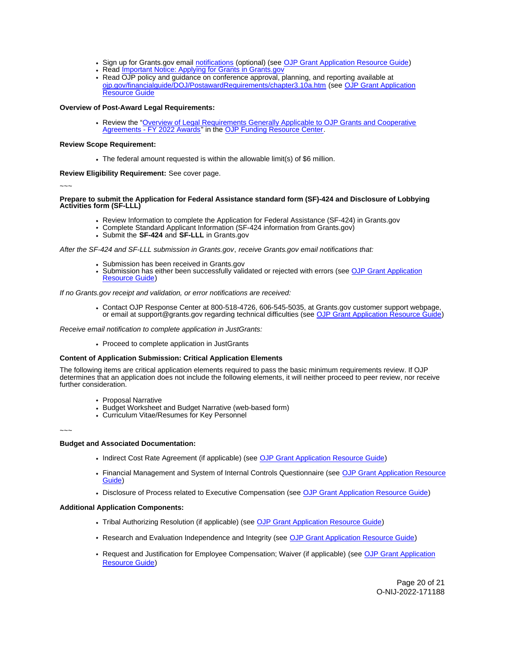- Sign up for [Grants.gov](https://Grants.gov) email [notifications](https://www.grants.gov/web/grants/manage-subscriptions.html) (optional) (see [OJP Grant Application Resource Guide\)](https://www.ojp.gov/funding/apply/ojp-grant-application-resource-guide#apply)
- Read Important Notice: Applying for Grants in Grants.gov
- Read OJP policy and guidance on conference approval, planning, and reporting available at [ojp.gov/financialguide/DOJ/PostawardRequirements/chapter3.10a.htm](https://ojp.gov/financialguide/DOJ/PostawardRequirements/chapter3.10a.htm) (see [OJP Grant Application](https://www.ojp.gov/funding/apply/ojp-grant-application-resource-guide#prior-approval)  [Resource Guide](https://www.ojp.gov/funding/apply/ojp-grant-application-resource-guide#prior-approval)

## **Overview of Post-Award Legal Requirements:**

Review the "[Overview of Legal Requirements Generally Applicable to OJP Grants and Cooperative](https://www.ojp.gov/funding/explore/legal-overview-awards)  [Agreements - FY 2022 Awards"](https://www.ojp.gov/funding/explore/legal-overview-awards) in the [OJP Funding Resource Center.](https://www.ojp.gov/funding/explore/legal-overview-awards)

## **Review Scope Requirement:**

The federal amount requested is within the allowable limit(s) of \$6 million.

## **Review Eligibility Requirement:** See cover page.

~~~

#### **Prepare to submit the Application for Federal Assistance standard form (SF)-424 and Disclosure of Lobbying Activities form (SF-LLL)**

- Review Information to complete the Application for Federal Assistance (SF-424) in [Grants.gov](https://Grants.gov)
- Complete Standard Applicant Information (SF-424 information from [Grants.gov\)](https://Grants.gov)
- Submit the **SF-424** and **SF-LLL** in [Grants.gov](https://Grants.gov)

After the SF-424 and SF-LLL submission in [Grants.gov](https://Grants.gov), receive [Grants.gov](https://Grants.gov) email notifications that:

- 
- Submission has been received in [Grants.gov](https://Grants.gov)<br>• Submission has either been succ[essfully valid](https://Grants.gov)ated or rejected with errors (see OJP Grant Application [Resource Guide\)](https://www.ojp.gov/funding/apply/ojp-grant-application-resource-guide#apply)

If no [Grants.gov](https://Grants.gov) receipt and validation, or error notifications are received:

Contact OJP Response Center at 800-518-4726, 606-545-5035, at [Grants.gov](https://Grants.gov) customer support webpage, or email at [support@grants.gov](mailto:support@grants.gov) regarding technical difficulties (see [OJP Grant Application Resource Guide\)](https://www.ojp.gov/funding/apply/ojp-grant-application-resource-guide#apply)

Receive email notification to complete application in JustGrants:

• Proceed to complete application in JustGrants

## **Content of Application Submission: Critical Application Elements**

The following items are critical application elements required to pass the basic minimum requirements review. If OJP determines that an application does not include the following elements, it will neither proceed to peer review, nor receive further consideration.

- Proposal Narrative
- Budget Worksheet and Budget Narrative (web-based form)
- Curriculum Vitae/Resumes for Key Personnel

~~~

#### **Budget and Associated Documentation:**

- Indirect Cost Rate Agreement (if applicable) (see [OJP Grant Application Resource Guide\)](https://www.ojp.gov/funding/apply/ojp-grant-application-resource-guide#indirect-cost)
- Financial Management and System of Internal Controls Questionnaire (see [OJP Grant Application Resource](https://www.ojp.gov/funding/apply/ojp-grant-application-resource-guide#fm-internal-controls-questionnaire)  [Guide\)](https://www.ojp.gov/funding/apply/ojp-grant-application-resource-guide#fm-internal-controls-questionnaire)
- Disclosure of Process related to Executive Compensation (see [OJP Grant Application Resource Guide\)](https://www.ojp.gov/funding/apply/ojp-grant-application-resource-guide#disclosure-process-executive)

## **Additional Application Components:**

- Tribal Authorizing Resolution (if applicable) (see [OJP Grant Application Resource Guide\)](https://www.ojp.gov/funding/apply/ojp-grant-application-resource-guide#tribal-authorizing-resolution)
- Research and Evaluation Independence and Integrity (see [OJP Grant Application Resource Guide\)](https://www.ojp.gov/funding/apply/ojp-grant-application-resource-guide#research-evaluation)
- Request and Justification for Employee Compensation; Waiver (if applicable) (see [OJP Grant Application](https://www.ojp.gov/funding/apply/ojp-grant-application-resource-guide#limitation-use-award)  [Resource Guide\)](https://www.ojp.gov/funding/apply/ojp-grant-application-resource-guide#limitation-use-award)